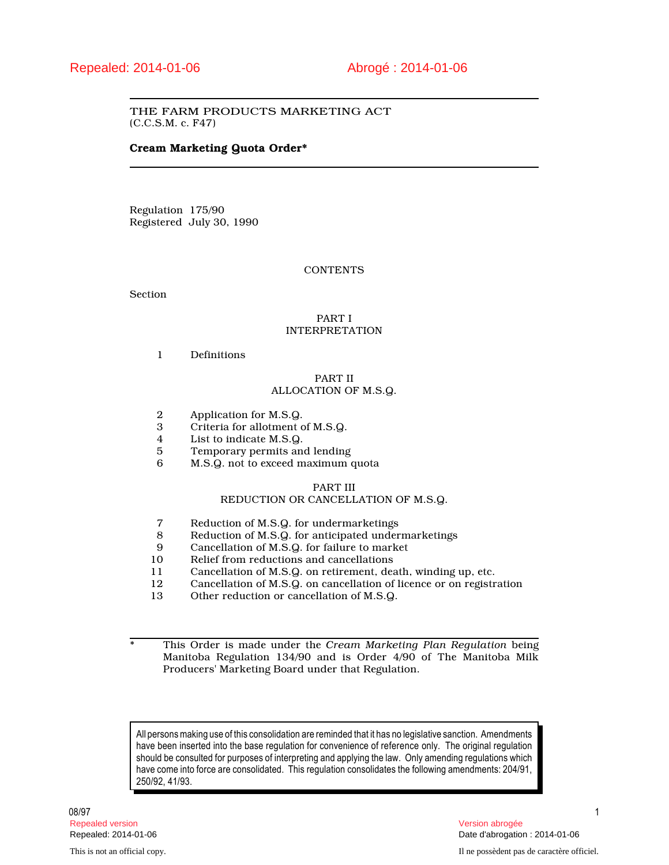# THE FARM PRODUCTS MARKETING ACT (C.C.S.M. c. F47)

# **Cream Marketing Quota Order\***

Regulation 175/90 Registered July 30, 1990

## **CONTENTS**

Section

# PART I INTERPRETATION

1 Definitions

# PART II ALLOCATION OF M.S.Q.

- 2 Application for M.S.Q.<br>3 Criteria for allotment o
- 3 Criteria for allotment of M.S.Q.<br>4 List to indicate M.S.Q.
- 4 List to indicate M.S.Q.<br>5 Temporary permits an
- 5 Temporary permits and lending<br>6 M.S.Q. not to exceed maximum
- M.S.Q. not to exceed maximum quota

# PART III

# REDUCTION OR CANCELLATION OF M.S.Q.

- 7 Reduction of M.S.Q. for undermarketings<br>8 Reduction of M.S.Q. for anticipated under
- 8 Reduction of M.S.Q. for anticipated undermarketings<br>9 Cancellation of M.S.Q. for failure to market
- 9 Cancellation of M.S.Q. for failure to market<br>10 Relief from reductions and cancellations
- 10 Relief from reductions and cancellations<br>11 Cancellation of M.S.Q. on retirement. dea
- 11 Cancellation of M.S.Q. on retirement, death, winding up, etc.<br>12 Cancellation of M.S.Q. on cancellation of licence or on registr
- 12 Cancellation of M.S.Q. on cancellation of licence or on registration<br>13 Other reduction or cancellation of M.S.Q.
- Other reduction or cancellation of M.S.Q.

\* This Order is made under the *Cream Marketing Plan Regulation* being Manitoba Regulation 134/90 and is Order 4/90 of The Manitoba Milk Producers' Marketing Board under that Regulation.

All persons making use of this consolidation are reminded that it has no legislative sanction. Amendments have been inserted into the base regulation for convenience of reference only. The original regulation should be consulted for purposes of interpreting and applying the law. Only amending regulations which have come into force are consolidated. This regulation consolidates the following amendments: 204/91, 250/92, 41/93.

08/97 1 Repealed version Version abrogée

Repealed: 2014-01-06 Date d'abrogation : 2014-01-06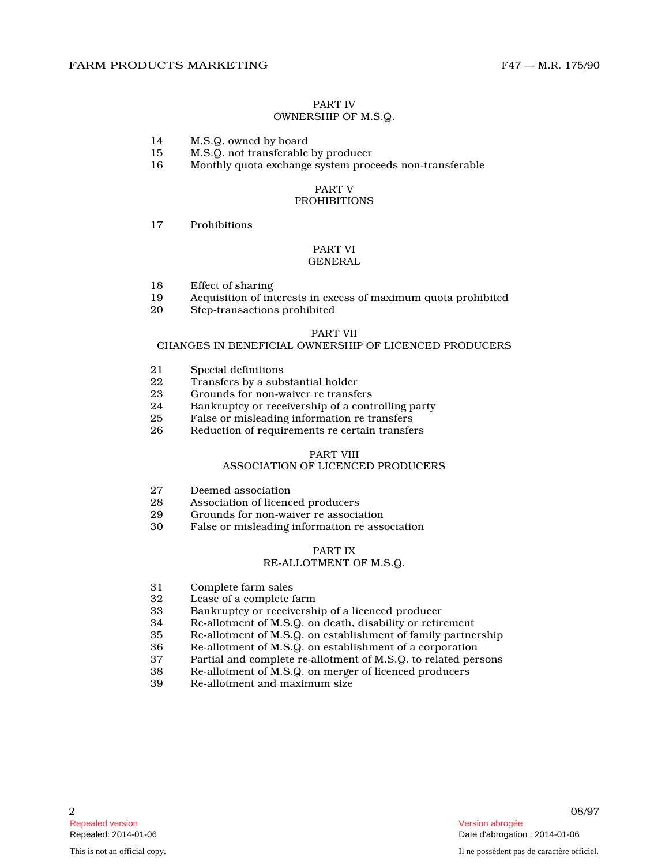# PART IV

# OWNERSHIP OF M.S.Q.

- 14 M.S.Q. owned by board
- 15 M.S.Q. not transferable by producer
- 16 Monthly quota exchange system proceeds non-transferable

# PART V

# PROHIBITIONS

17 Prohibitions

## PART VI GENERAL

- 18 Effect of sharing
- 19 Acquisition of interests in excess of maximum quota prohibited
- Step-transactions prohibited

#### PART VII

#### CHANGES IN BENEFICIAL OWNERSHIP OF LICENCED PRODUCERS

- 21 Special definitions<br>22 Transfers by a sub
- 22 Transfers by a substantial holder<br>23 Crounds for non-waiver re transfe
- Grounds for non-waiver re transfers
- 24 Bankruptcy or receivership of a controlling party
- 25 False or misleading information re transfers
- 26 Reduction of requirements re certain transfers

# PART VIII

#### ASSOCIATION OF LICENCED PRODUCERS

- 27 Deemed association<br>28 Association of licenc
- 28 Association of licenced producers<br>29 Grounds for non-waiver re associa
- 29 Grounds for non-waiver re association<br>30 False or misleading information re association
- False or misleading information re association

### PART IX

#### RE-ALLOTMENT OF M.S.Q.

- 31 Complete farm sales<br>32 Lease of a complete f
- 32 Lease of a complete farm<br>33 Bankruptcy or receiversh
- Bankruptcy or receivership of a licenced producer
- 34 Re-allotment of M.S.Q. on death, disability or retirement
- 35 Re-allotment of M.S.Q. on establishment of family partnership
- Re-allotment of M.S.Q. on establishment of a corporation
- 37 Partial and complete re-allotment of M.S.Q. to related persons
- 38 Re-allotment of M.S.Q. on merger of licenced producers
- Re-allotment and maximum size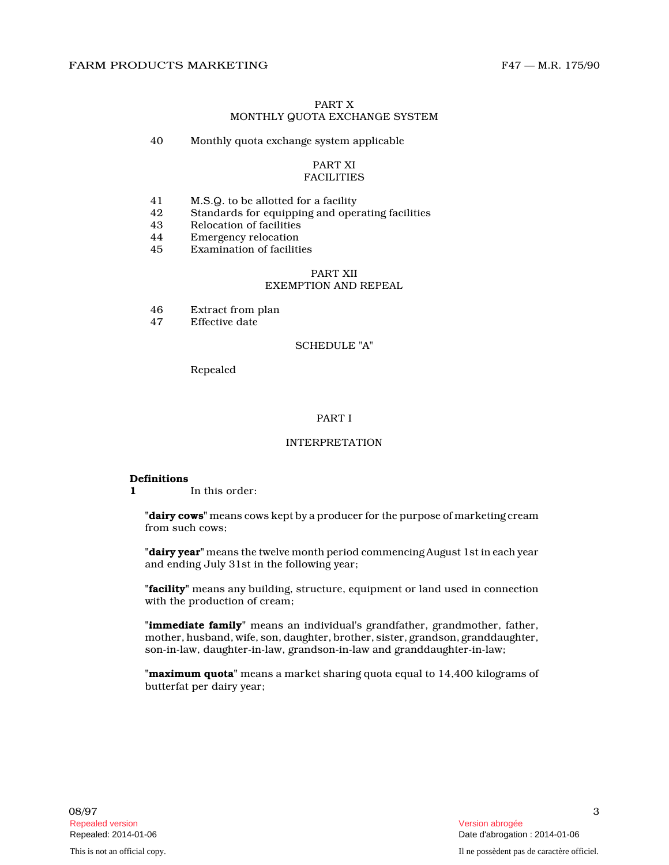# PART X MONTHLY QUOTA EXCHANGE SYSTEM

40 Monthly quota exchange system applicable

#### PART XI FACILITIES

- 41 M.S.Q. to be allotted for a facility
- 42 Standards for equipping and operating facilities
- 43 Relocation of facilities<br>44 Emergency relocation
- 44 Emergency relocation<br>45 Examination of faciliti
- Examination of facilities

#### PART XII EXEMPTION AND REPEAL

- 46 Extract from plan<br>47 Effective date
- Effective date

#### SCHEDULE "A"

Repealed

#### PART I

# INTERPRETATION

#### **Definitions**

**1** In this order:

**"dairy cows"** means cows kept by a producer for the purpose of marketing cream from such cows;

**"dairy year"** means the twelve month period commencing August 1st in each year and ending July 31st in the following year;

**"facility"** means any building, structure, equipment or land used in connection with the production of cream;

**"immediate family"** means an individual's grandfather, grandmother, father, mother, husband, wife, son, daughter, brother, sister, grandson, granddaughter, son-in-law, daughter-in-law, grandson-in-law and granddaughter-in-law;

**"maximum quota"** means a market sharing quota equal to 14,400 kilograms of butterfat per dairy year;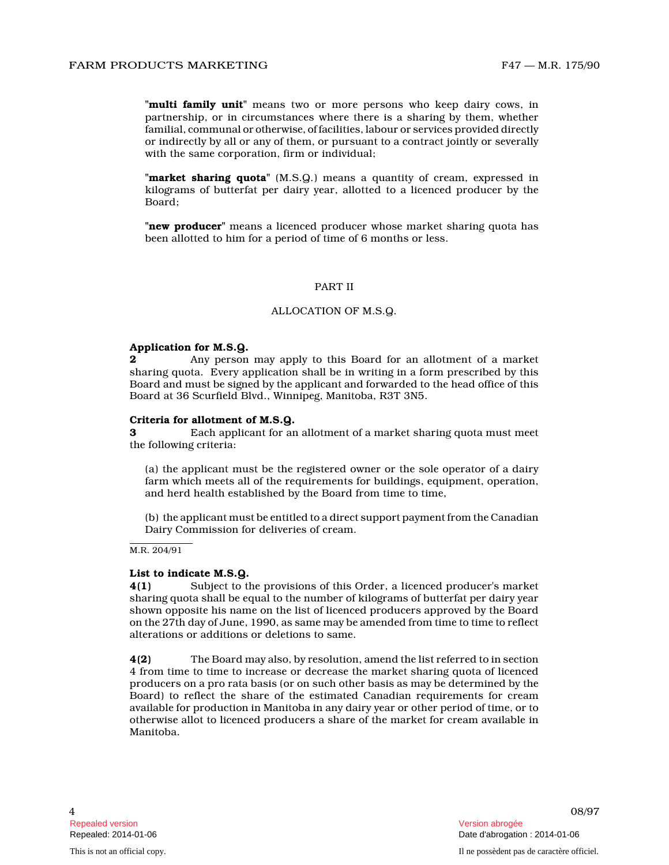**"multi family unit"** means two or more persons who keep dairy cows, in partnership, or in circumstances where there is a sharing by them, whether familial, communal or otherwise, of facilities, labour or services provided directly or indirectly by all or any of them, or pursuant to a contract jointly or severally with the same corporation, firm or individual;

**"market sharing quota"** (M.S.Q.) means a quantity of cream, expressed in kilograms of butterfat per dairy year, allotted to a licenced producer by the Board;

**"new producer"** means a licenced producer whose market sharing quota has been allotted to him for a period of time of 6 months or less.

#### PART II

#### ALLOCATION OF M.S.Q.

#### **Application for M.S.Q.**

**2** Any person may apply to this Board for an allotment of a market sharing quota. Every application shall be in writing in a form prescribed by this Board and must be signed by the applicant and forwarded to the head office of this Board at 36 Scurfield Blvd., Winnipeg, Manitoba, R3T 3N5.

#### **Criteria for allotment of M.S.Q.**

**3** Each applicant for an allotment of a market sharing quota must meet the following criteria:

(a) the applicant must be the registered owner or the sole operator of a dairy farm which meets all of the requirements for buildings, equipment, operation, and herd health established by the Board from time to time,

(b) the applicant must be entitled to a direct support payment from the Canadian Dairy Commission for deliveries of cream.

M.R. 204/91

#### **List to indicate M.S.Q.**

**4(1)** Subject to the provisions of this Order, a licenced producer's market sharing quota shall be equal to the number of kilograms of butterfat per dairy year shown opposite his name on the list of licenced producers approved by the Board on the 27th day of June, 1990, as same may be amended from time to time to reflect alterations or additions or deletions to same.

**4(2)** The Board may also, by resolution, amend the list referred to in section 4 from time to time to increase or decrease the market sharing quota of licenced producers on a pro rata basis (or on such other basis as may be determined by the Board) to reflect the share of the estimated Canadian requirements for cream available for production in Manitoba in any dairy year or other period of time, or to otherwise allot to licenced producers a share of the market for cream available in Manitoba.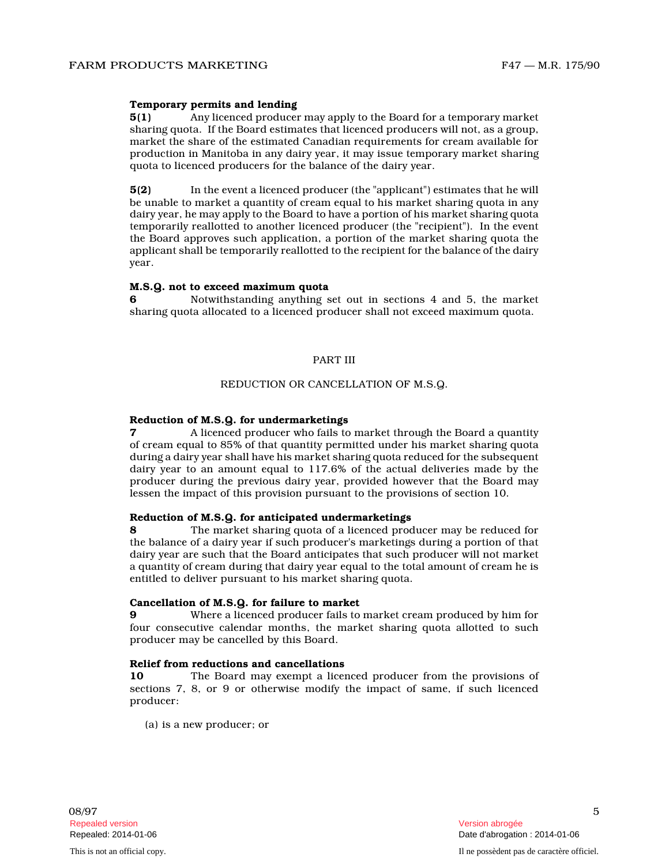#### **Temporary permits and lending**

**5(1)** Any licenced producer may apply to the Board for a temporary market sharing quota. If the Board estimates that licenced producers will not, as a group, market the share of the estimated Canadian requirements for cream available for production in Manitoba in any dairy year, it may issue temporary market sharing quota to licenced producers for the balance of the dairy year.

**5(2)** In the event a licenced producer (the "applicant") estimates that he will be unable to market a quantity of cream equal to his market sharing quota in any dairy year, he may apply to the Board to have a portion of his market sharing quota temporarily reallotted to another licenced producer (the "recipient"). In the event the Board approves such application, a portion of the market sharing quota the applicant shall be temporarily reallotted to the recipient for the balance of the dairy year.

#### **M.S.Q. not to exceed maximum quota**

**6** Notwithstanding anything set out in sections 4 and 5, the market sharing quota allocated to a licenced producer shall not exceed maximum quota.

#### PART III

# REDUCTION OR CANCELLATION OF M.S.Q.

#### **Reduction of M.S.Q. for undermarketings**

**7** A licenced producer who fails to market through the Board a quantity of cream equal to 85% of that quantity permitted under his market sharing quota during a dairy year shall have his market sharing quota reduced for the subsequent dairy year to an amount equal to 117.6% of the actual deliveries made by the producer during the previous dairy year, provided however that the Board may lessen the impact of this provision pursuant to the provisions of section 10.

#### **Reduction of M.S.Q. for anticipated undermarketings**

**8** The market sharing quota of a licenced producer may be reduced for the balance of a dairy year if such producer's marketings during a portion of that dairy year are such that the Board anticipates that such producer will not market a quantity of cream during that dairy year equal to the total amount of cream he is entitled to deliver pursuant to his market sharing quota.

#### **Cancellation of M.S.Q. for failure to market**

**9** Where a licenced producer fails to market cream produced by him for four consecutive calendar months, the market sharing quota allotted to such producer may be cancelled by this Board.

#### **Relief from reductions and cancellations**

**10** The Board may exempt a licenced producer from the provisions of sections 7, 8, or 9 or otherwise modify the impact of same, if such licenced producer:

(a) is a new producer; or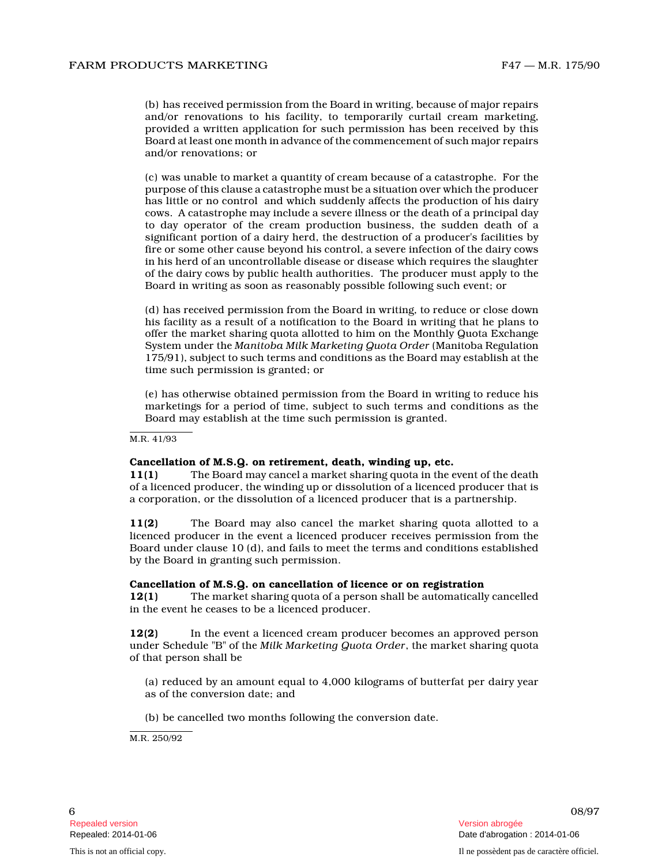(b) has received permission from the Board in writing, because of major repairs and/or renovations to his facility, to temporarily curtail cream marketing, provided a written application for such permission has been received by this Board at least one month in advance of the commencement of such major repairs and/or renovations; or

(c) was unable to market a quantity of cream because of a catastrophe. For the purpose of this clause a catastrophe must be a situation over which the producer has little or no control and which suddenly affects the production of his dairy cows. A catastrophe may include a severe illness or the death of a principal day to day operator of the cream production business, the sudden death of a significant portion of a dairy herd, the destruction of a producer's facilities by fire or some other cause beyond his control, a severe infection of the dairy cows in his herd of an uncontrollable disease or disease which requires the slaughter of the dairy cows by public health authorities. The producer must apply to the Board in writing as soon as reasonably possible following such event; or

(d) has received permission from the Board in writing, to reduce or close down his facility as a result of a notification to the Board in writing that he plans to offer the market sharing quota allotted to him on the Monthly Quota Exchange System under the *Manitoba Milk Marketing Quota Order* (Manitoba Regulation 175/91), subject to such terms and conditions as the Board may establish at the time such permission is granted; or

(e) has otherwise obtained permission from the Board in writing to reduce his marketings for a period of time, subject to such terms and conditions as the Board may establish at the time such permission is granted.

M.R. 41/93

#### **Cancellation of M.S.Q. on retirement, death, winding up, etc.**

**11(1)** The Board may cancel a market sharing quota in the event of the death of a licenced producer, the winding up or dissolution of a licenced producer that is a corporation, or the dissolution of a licenced producer that is a partnership.

**11(2)** The Board may also cancel the market sharing quota allotted to a licenced producer in the event a licenced producer receives permission from the Board under clause 10 (d), and fails to meet the terms and conditions established by the Board in granting such permission.

#### **Cancellation of M.S.Q. on cancellation of licence or on registration**

**12(1)** The market sharing quota of a person shall be automatically cancelled in the event he ceases to be a licenced producer.

**12(2)** In the event a licenced cream producer becomes an approved person under Schedule "B" of the *Milk Marketing Quota Order*, the market sharing quota of that person shall be

(a) reduced by an amount equal to 4,000 kilograms of butterfat per dairy year as of the conversion date; and

(b) be cancelled two months following the conversion date.

M.R. 250/92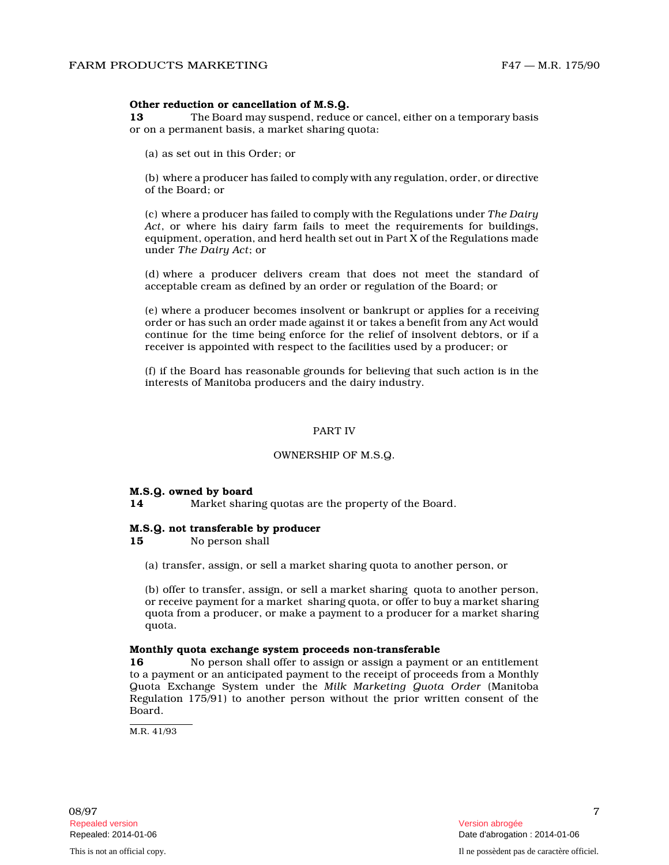#### **Other reduction or cancellation of M.S.Q.**

**13** The Board may suspend, reduce or cancel, either on a temporary basis or on a permanent basis, a market sharing quota:

(a) as set out in this Order; or

(b) where a producer has failed to comply with any regulation, order, or directive of the Board; or

(c) where a producer has failed to comply with the Regulations under *The Dairy Act*, or where his dairy farm fails to meet the requirements for buildings, equipment, operation, and herd health set out in Part X of the Regulations made under *The Dairy Act*; or

(d) where a producer delivers cream that does not meet the standard of acceptable cream as defined by an order or regulation of the Board; or

(e) where a producer becomes insolvent or bankrupt or applies for a receiving order or has such an order made against it or takes a benefit from any Act would continue for the time being enforce for the relief of insolvent debtors, or if a receiver is appointed with respect to the facilities used by a producer; or

(f) if the Board has reasonable grounds for believing that such action is in the interests of Manitoba producers and the dairy industry.

#### PART IV

#### OWNERSHIP OF M.S.Q.

#### **M.S.Q. owned by board**

**14** Market sharing quotas are the property of the Board .

#### **M.S.Q. not transferable by producer**

**15** No person shall

(a) transfer, assign, or sell a market sharing quota to another person, or

(b) offer to transfer, assign, or sell a market sharing quota to another person, or receive payment for a market sharing quota, or offer to buy a market sharing quota from a producer, or make a payment to a producer for a market sharing quota.

#### **Monthly quota exchange system proceeds non-transferable**

**16** No person shall offer to assign or assign a payment or an entitlement to a payment or an anticipated payment to the receipt of proceeds from a Monthly Quota Exchange System under the *Milk Marketing Quota Order* (Manitoba Regulation 175/91) to another person without the prior written consent of the Board.

M.R. 41/93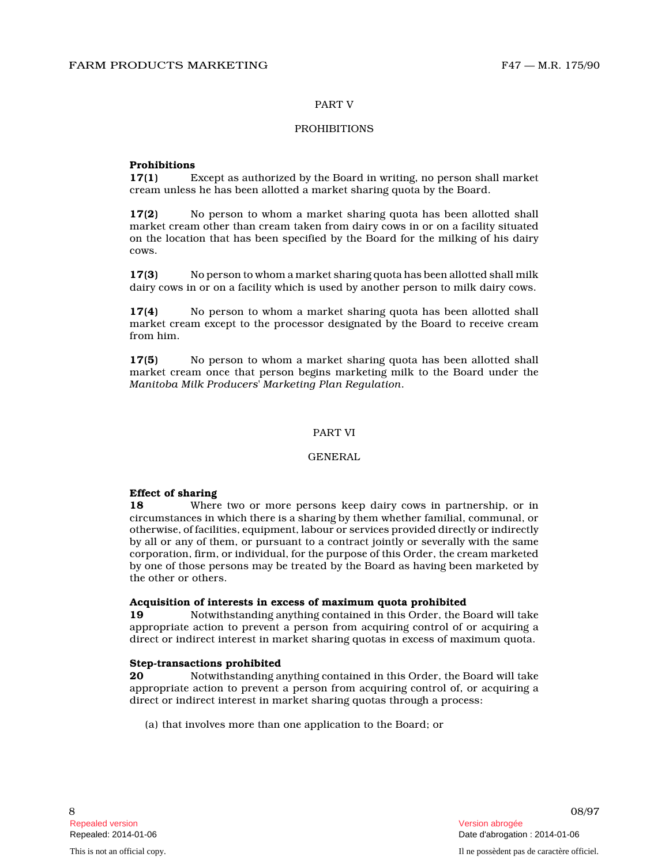#### PART V

## PROHIBITIONS

#### **Prohibitions**

**17(1)** Except as authorized by the Board in writing, no person shall market cream unless he has been allotted a market sharing quota by the Board.

**17(2)** No person to whom a market sharing quota has been allotted shall market cream other than cream taken from dairy cows in or on a facility situated on the location that has been specified by the Board for the milking of his dairy cows.

**17(3)** No person to whom a market sharing quota has been allotted shall milk dairy cows in or on a facility which is used by another person to milk dairy cows.

**17(4)** No person to whom a market sharing quota has been allotted shall market cream except to the processor designated by the Board to receive cream from him.

**17(5)** No person to whom a market sharing quota has been allotted shall market cream once that person begins marketing milk to the Board under the *Manitoba Milk Producers' Marketing Plan Regulation* .

#### PART VI

### GENERAL

#### **Effect of sharing**

**18** Where two or more persons keep dairy cows in partnership, or in circumstances in which there is a sharing by them whether familial, communal, or otherwise, of facilities, equipment, labour or services provided directly or indirectly by all or any of them, or pursuant to a contract jointly or severally with the same corporation, firm, or individual, for the purpose of this Order, the cream marketed by one of those persons may be treated by the Board as having been marketed by the other or others.

#### **Acquisition of interests in excess of maximum quota prohibited**

**19** Notwithstanding anything contained in this Order, the Board will take appropriate action to prevent a person from acquiring control of or acquiring a direct or indirect interest in market sharing quotas in excess of maximum quota.

#### **Step-transactions prohibited**

**20** Notwithstanding anything contained in this Order, the Board will take appropriate action to prevent a person from acquiring control of, or acquiring a direct or indirect interest in market sharing quotas through a process:

(a) that involves more than one application to the Board; or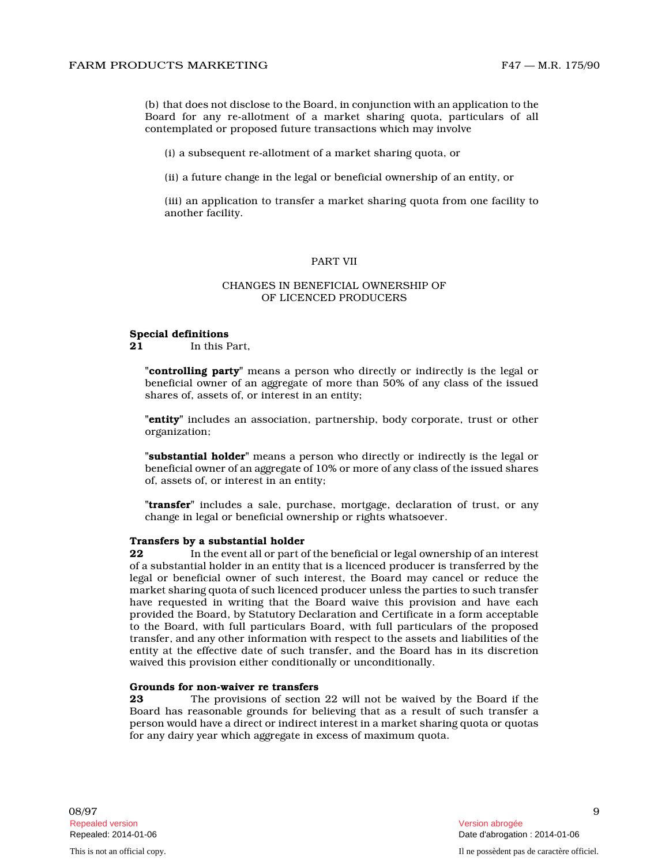(b) that does not disclose to the Board, in conjunction with an application to the Board for any re-allotment of a market sharing quota, particulars of all contemplated or proposed future transactions which may involve

(i) a subsequent re-allotment of a market sharing quota, or

(ii) a future change in the legal or beneficial ownership of an entity, or

(iii) an application to transfer a market sharing quota from one facility to another facility.

#### PART VII

#### CHANGES IN BENEFICIAL OWNERSHIP OF OF LICENCED PRODUCERS

#### **Special definitions**

**21** In this Part,

**"controlling party"** means a person who directly or indirectly is the legal or beneficial owner of an aggregate of more than 50% of any class of the issued shares of, assets of, or interest in an entity;

**"entity"** includes an association, partnership, body corporate, trust or other organization;

**"substantial holder"** means a person who directly or indirectly is the legal or beneficial owner of an aggregate of 10% or more of any class of the issued shares of, assets of, or interest in an entity;

**"transfer"** includes a sale, purchase, mortgage, declaration of trust, or any change in legal or beneficial ownership or rights whatsoever.

#### **Transfers by a substantial holder**

**22** In the event all or part of the beneficial or legal ownership of an interest of a substantial holder in an entity that is a licenced producer is transferred by the legal or beneficial owner of such interest, the Board may cancel or reduce the market sharing quota of such licenced producer unless the parties to such transfer have requested in writing that the Board waive this provision and have each provided the Board, by Statutory Declaration and Certificate in a form acceptable to the Board, with full particulars Board, with full particulars of the proposed transfer, and any other information with respect to the assets and liabilities of the entity at the effective date of such transfer, and the Board has in its discretion waived this provision either conditionally or unconditionally.

# **Grounds for non-waiver re transfers**<br>**23** The provisions of section

**23** The provisions of section 22 will not be waived by the Board if the Board has reasonable grounds for believing that as a result of such transfer a person would have a direct or indirect interest in a market sharing quota or quotas for any dairy year which aggregate in excess of maximum quota.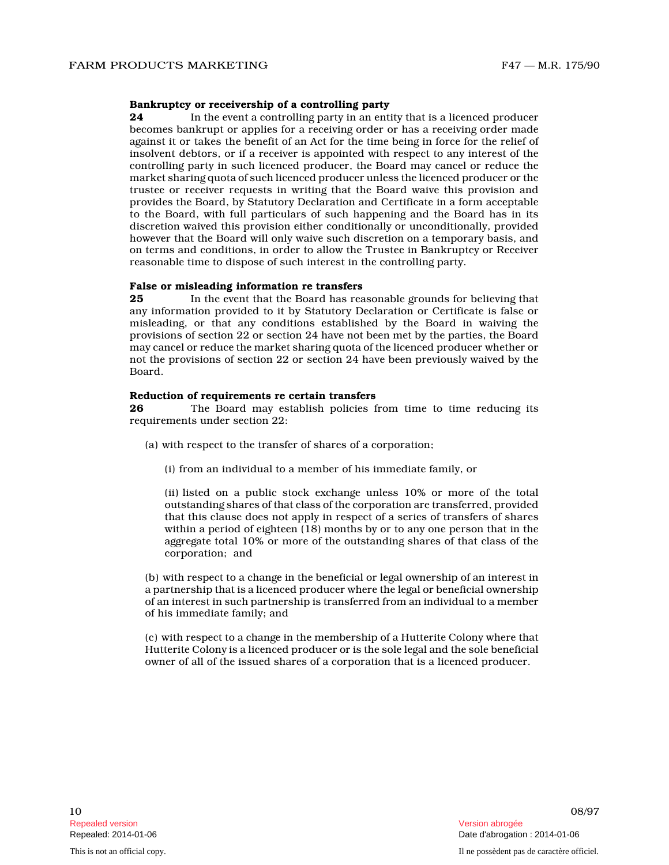#### **Bankruptcy or receivership of a controlling party**

**24** In the event a controlling party in an entity that is a licenced producer becomes bankrupt or applies for a receiving order or has a receiving order made against it or takes the benefit of an Act for the time being in force for the relief of insolvent debtors, or if a receiver is appointed with respect to any interest of the controlling party in such licenced producer, the Board may cancel or reduce the market sharing quota of such licenced producer unless the licenced producer or the trustee or receiver requests in writing that the Board waive this provision and provides the Board, by Statutory Declaration and Certificate in a form acceptable to the Board, with full particulars of such happening and the Board has in its discretion waived this provision either conditionally or unconditionally, provided however that the Board will only waive such discretion on a temporary basis, and on terms and conditions, in order to allow the Trustee in Bankruptcy or Receiver reasonable time to dispose of such interest in the controlling party.

#### **False or misleading information re transfers**

**25** In the event that the Board has reasonable grounds for believing that any information provided to it by Statutory Declaration or Certificate is false or misleading, or that any conditions established by the Board in waiving the provisions of section 22 or section 24 have not been met by the parties, the Board may cancel or reduce the market sharing quota of the licenced producer whether or not the provisions of section 22 or section 24 have been previously waived by the Board.

### **Reduction of requirements re certain transfers**

**26** The Board may establish policies from time to time reducing its requirements under section 22:

- (a) with respect to the transfer of shares of a corporation;
	- (i) from an individual to a member of his immediate family, or

(ii) listed on a public stock exchange unless 10% or more of the total outstanding shares of that class of the corporation are transferred, provided that this clause does not apply in respect of a series of transfers of shares within a period of eighteen (18) months by or to any one person that in the aggregate total 10% or more of the outstanding shares of that class of the corporation; and

(b) with respect to a change in the beneficial or legal ownership of an interest in a partnership that is a licenced producer where the legal or beneficial ownership of an interest in such partnership is transferred from an individual to a member of his immediate family; and

(c) with respect to a change in the membership of a Hutterite Colony where that Hutterite Colony is a licenced producer or is the sole legal and the sole beneficial owner of all of the issued shares of a corporation that is a licenced producer.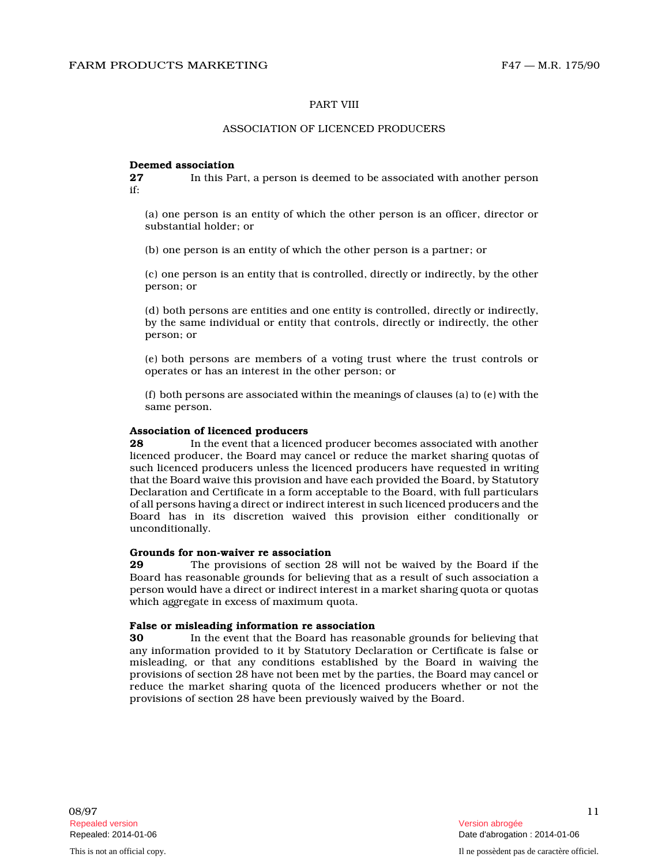#### PART VIII

# ASSOCIATION OF LICENCED PRODUCERS

# **Deemed association**<br>27 In this Pa

**27** In this Part, a person is deemed to be associated with another person if:

(a) one person is an entity of which the other person is an officer, director or substantial holder; or

(b) one person is an entity of which the other person is a partner; or

(c) one person is an entity that is controlled, directly or indirectly, by the other person; or

(d) both persons are entities and one entity is controlled, directly or indirectly, by the same individual or entity that controls, directly or indirectly, the other person; or

(e) both persons are members of a voting trust where the trust controls or operates or has an interest in the other person; or

(f) both persons are associated within the meanings of clauses (a) to (e) with the same person.

# **Association of licenced producers**

**28** In the event that a licenced producer becomes associated with another licenced producer, the Board may cancel or reduce the market sharing quotas of such licenced producers unless the licenced producers have requested in writing that the Board waive this provision and have each provided the Board, by Statutory Declaration and Certificate in a form acceptable to the Board, with full particulars of all persons having a direct or indirect interest in such licenced producers and the Board has in its discretion waived this provision either conditionally or unconditionally.

#### **Grounds for non-waiver re association**

**29** The provisions of section 28 will not be waived by the Board if the Board has reasonable grounds for believing that as a result of such association a person would have a direct or indirect interest in a market sharing quota or quotas which aggregate in excess of maximum quota.

#### **False or misleading information re association**

**30** In the event that the Board has reasonable grounds for believing that any information provided to it by Statutory Declaration or Certificate is false or misleading, or that any conditions established by the Board in waiving the provisions of section 28 have not been met by the parties, the Board may cancel or reduce the market sharing quota of the licenced producers whether or not the provisions of section 28 have been previously waived by the Board.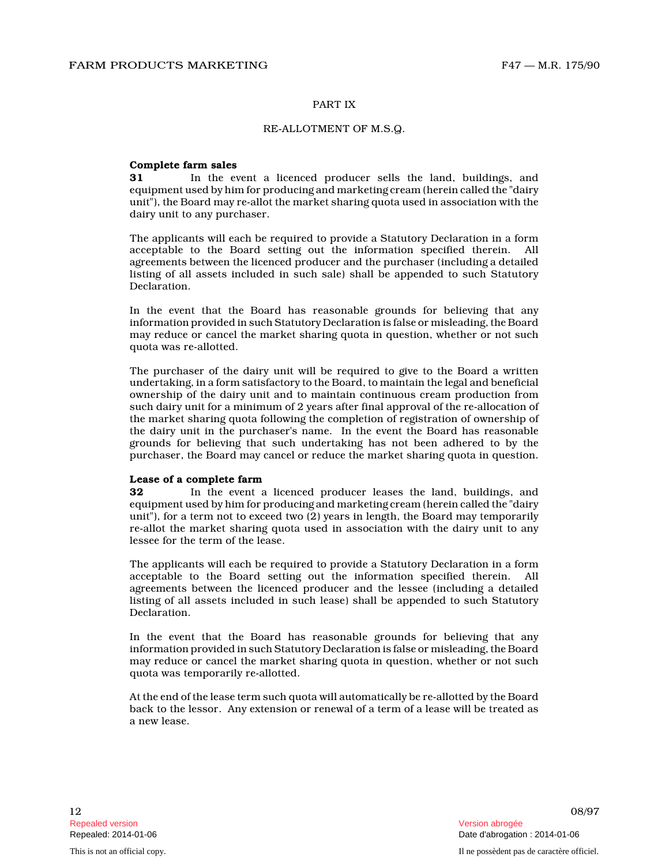#### PART IX

#### RE-ALLOTMENT OF M.S.Q.

#### **Complete farm sales**

**31** In the event a licenced producer sells the land, buildings, and equipment used by him for producing and marketing cream (herein called the "dairy unit"), the Board may re-allot the market sharing quota used in association with the dairy unit to any purchaser.

The applicants will each be required to provide a Statutory Declaration in a form acceptable to the Board setting out the information specified therein. All agreements between the licenced producer and the purchaser (including a detailed listing of all assets included in such sale) shall be appended to such Statutory Declaration.

In the event that the Board has reasonable grounds for believing that any information provided in such Statutory Declaration is false or misleading, the Board may reduce or cancel the market sharing quota in question, whether or not such quota was re-allotted.

The purchaser of the dairy unit will be required to give to the Board a written undertaking, in a form satisfactory to the Board, to maintain the legal and beneficial ownership of the dairy unit and to maintain continuous cream production from such dairy unit for a minimum of 2 years after final approval of the re-allocation of the market sharing quota following the completion of registration of ownership of the dairy unit in the purchaser's name. In the event the Board has reasonable grounds for believing that such undertaking has not been adhered to by the purchaser, the Board may cancel or reduce the market sharing quota in question.

#### **Lease of a complete farm**

**32** In the event a licenced producer leases the land, buildings, and equipment used by him for producing and marketing cream (herein called the "dairy unit"), for a term not to exceed two (2) years in length, the Board may temporarily re-allot the market sharing quota used in association with the dairy unit to any lessee for the term of the lease.

The applicants will each be required to provide a Statutory Declaration in a form acceptable to the Board setting out the information specified therein. All agreements between the licenced producer and the lessee (including a detailed listing of all assets included in such lease) shall be appended to such Statutory Declaration.

In the event that the Board has reasonable grounds for believing that any information provided in such Statutory Declaration is false or misleading, the Board may reduce or cancel the market sharing quota in question, whether or not such quota was temporarily re-allotted.

At the end of the lease term such quota will automatically be re-allotted by the Board back to the lessor. Any extension or renewal of a term of a lease will be treated as a new lease.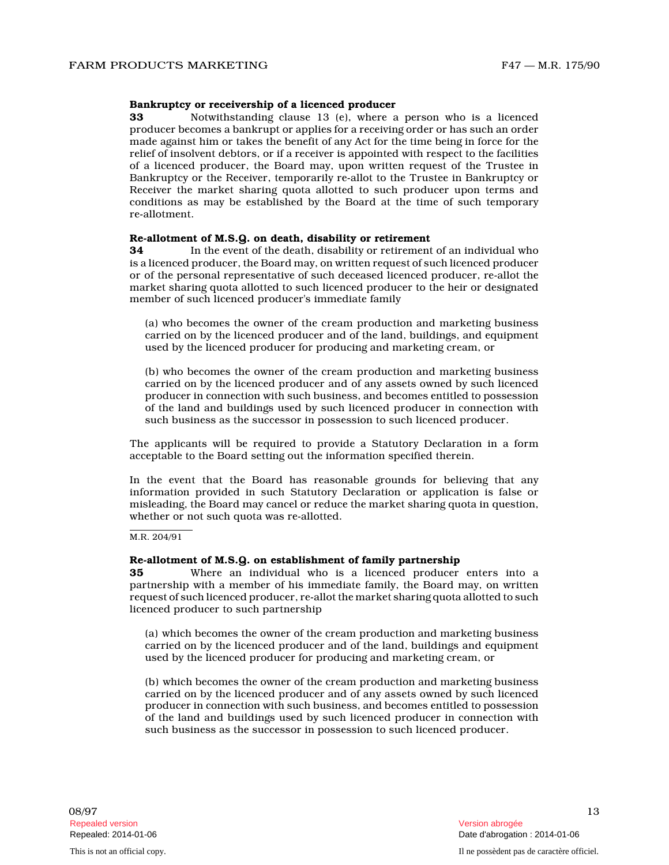#### **Bankruptcy or receivership of a licenced producer**

**33** Notwithstanding clause 13 (e), where a person who is a licenced producer becomes a bankrupt or applies for a receiving order or has such an order made against him or takes the benefit of any Act for the time being in force for the relief of insolvent debtors, or if a receiver is appointed with respect to the facilities of a licenced producer, the Board may, upon written request of the Trustee in Bankruptcy or the Receiver, temporarily re-allot to the Trustee in Bankruptcy or Receiver the market sharing quota allotted to such producer upon terms and conditions as may be established by the Board at the time of such temporary re-allotment.

# **Re-allotment of M.S.Q. on death, disability or retirement**

**34** In the event of the death, disability or retirement of an individual who is a licenced producer, the Board may, on written request of such licenced producer or of the personal representative of such deceased licenced producer, re-allot the market sharing quota allotted to such licenced producer to the heir or designated member of such licenced producer's immediate family

(a) who becomes the owner of the cream production and marketing business carried on by the licenced producer and of the land, buildings, and equipment used by the licenced producer for producing and marketing cream, or

(b) who becomes the owner of the cream production and marketing business carried on by the licenced producer and of any assets owned by such licenced producer in connection with such business, and becomes entitled to possession of the land and buildings used by such licenced producer in connection with such business as the successor in possession to such licenced producer.

The applicants will be required to provide a Statutory Declaration in a form acceptable to the Board setting out the information specified therein.

In the event that the Board has reasonable grounds for believing that any information provided in such Statutory Declaration or application is false or misleading, the Board may cancel or reduce the market sharing quota in question, whether or not such quota was re-allotted.

#### M.R. 204/91

#### **Re-allotment of M.S.Q. on establishment of family partnership**

**35** Where an individual who is a licenced producer enters into a partnership with a member of his immediate family, the Board may, on written request of such licenced producer, re-allot the market sharing quota allotted to such licenced producer to such partnership

(a) which becomes the owner of the cream production and marketing business carried on by the licenced producer and of the land, buildings and equipment used by the licenced producer for producing and marketing cream, or

(b) which becomes the owner of the cream production and marketing business carried on by the licenced producer and of any assets owned by such licenced producer in connection with such business, and becomes entitled to possession of the land and buildings used by such licenced producer in connection with such business as the successor in possession to such licenced producer.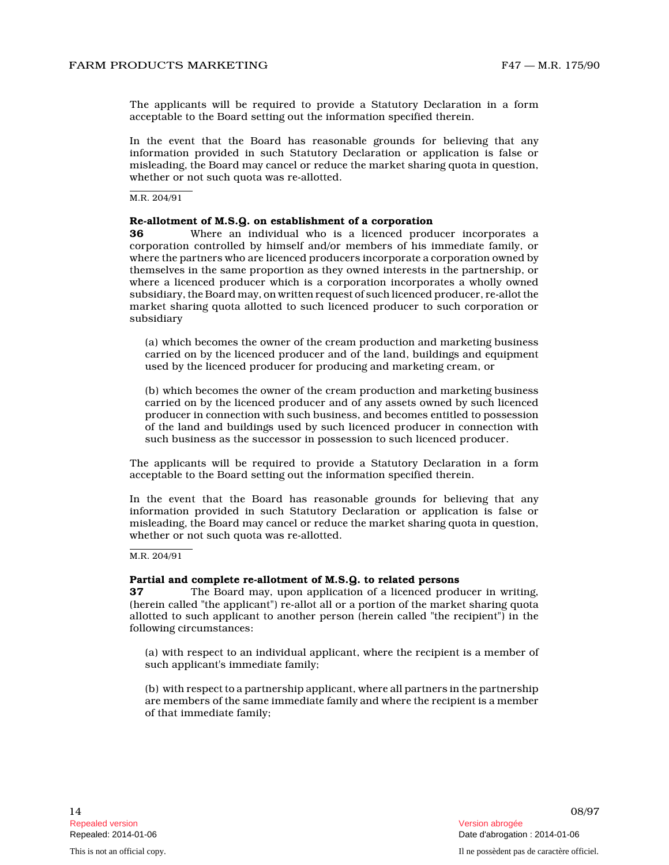The applicants will be required to provide a Statutory Declaration in a form acceptable to the Board setting out the information specified therein.

In the event that the Board has reasonable grounds for believing that any information provided in such Statutory Declaration or application is false or misleading, the Board may cancel or reduce the market sharing quota in question, whether or not such quota was re-allotted.

M.R. 204/91

#### **Re-allotment of M.S.Q. on establishment of a corporation**

**36** Where an individual who is a licenced producer incorporates a corporation controlled by himself and/or members of his immediate family, or where the partners who are licenced producers incorporate a corporation owned by themselves in the same proportion as they owned interests in the partnership, or where a licenced producer which is a corporation incorporates a wholly owned subsidiary, the Board may, on written request of such licenced producer, re-allot the market sharing quota allotted to such licenced producer to such corporation or subsidiary

(a) which becomes the owner of the cream production and marketing business carried on by the licenced producer and of the land, buildings and equipment used by the licenced producer for producing and marketing cream, or

(b) which becomes the owner of the cream production and marketing business carried on by the licenced producer and of any assets owned by such licenced producer in connection with such business, and becomes entitled to possession of the land and buildings used by such licenced producer in connection with such business as the successor in possession to such licenced producer.

The applicants will be required to provide a Statutory Declaration in a form acceptable to the Board setting out the information specified therein.

In the event that the Board has reasonable grounds for believing that any information provided in such Statutory Declaration or application is false or misleading, the Board may cancel or reduce the market sharing quota in question, whether or not such quota was re-allotted.

M.R. 204/91

#### **Partial and complete re-allotment of M.S.Q. to related persons**

**37** The Board may, upon application of a licenced producer in writing, (herein called "the applicant") re-allot all or a portion of the market sharing quota allotted to such applicant to another person (herein called "the recipient") in the following circumstances:

(a) with respect to an individual applicant, where the recipient is a member of such applicant's immediate family;

(b) with respect to a partnership applicant, where all partners in the partnership are members of the same immediate family and where the recipient is a member of that immediate family;

14 08/97 Repealed: 2014-01-06 Date d'abrogation : 2014-01-06 This is not an official copy. Il ne possèdent pas de caractère officiel.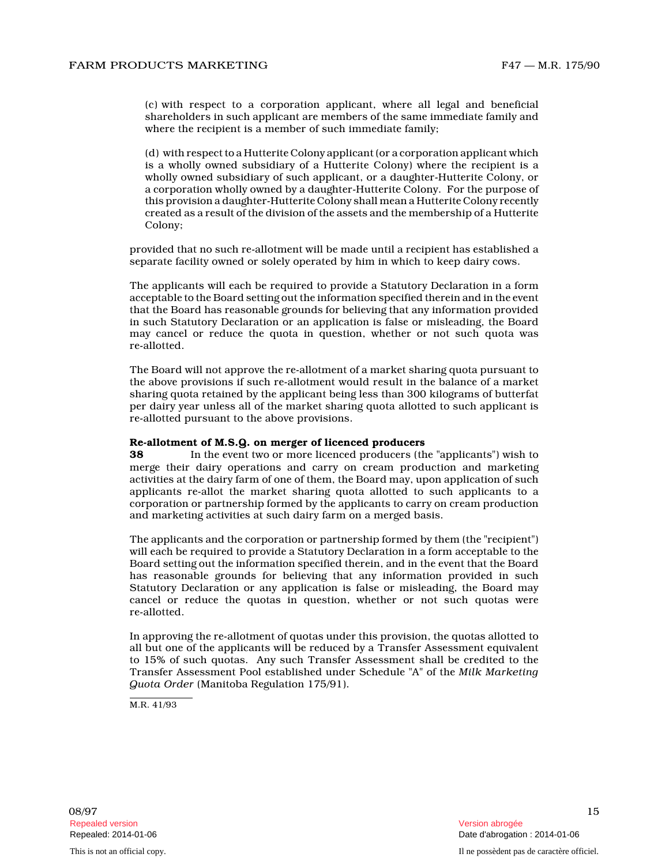(c) with respect to a corporation applicant, where all legal and beneficial shareholders in such applicant are members of the same immediate family and where the recipient is a member of such immediate family;

(d) with respect to a Hutterite Colony applicant (or a corporation applicant which is a wholly owned subsidiary of a Hutterite Colony) where the recipient is a wholly owned subsidiary of such applicant, or a daughter-Hutterite Colony, or a corporation wholly owned by a daughter-Hutterite Colony. For the purpose of this provision a daughter-Hutterite Colony shall mean a Hutterite Colony recently created as a result of the division of the assets and the membership of a Hutterite Colony;

provided that no such re-allotment will be made until a recipient has established a separate facility owned or solely operated by him in which to keep dairy cows.

The applicants will each be required to provide a Statutory Declaration in a form acceptable to the Board setting out the information specified therein and in the event that the Board has reasonable grounds for believing that any information provided in such Statutory Declaration or an application is false or misleading, the Board may cancel or reduce the quota in question, whether or not such quota was re-allotted.

The Board will not approve the re-allotment of a market sharing quota pursuant to the above provisions if such re-allotment would result in the balance of a market sharing quota retained by the applicant being less than 300 kilograms of butterfat per dairy year unless all of the market sharing quota allotted to such applicant is re-allotted pursuant to the above provisions.

#### **Re-allotment of M.S.Q. on merger of licenced producers**

**38** In the event two or more licenced producers (the "applicants") wish to merge their dairy operations and carry on cream production and marketing activities at the dairy farm of one of them, the Board may, upon application of such applicants re-allot the market sharing quota allotted to such applicants to a corporation or partnership formed by the applicants to carry on cream production and marketing activities at such dairy farm on a merged basis.

The applicants and the corporation or partnership formed by them (the "recipient") will each be required to provide a Statutory Declaration in a form acceptable to the Board setting out the information specified therein, and in the event that the Board has reasonable grounds for believing that any information provided in such Statutory Declaration or any application is false or misleading, the Board may cancel or reduce the quotas in question, whether or not such quotas were re-allotted.

In approving the re-allotment of quotas under this provision, the quotas allotted to all but one of the applicants will be reduced by a Transfer Assessment equivalent to 15% of such quotas. Any such Transfer Assessment shall be credited to the Transfer Assessment Pool established under Schedule "A" of the *Milk Marketing Quota Order* (Manitoba Regulation 175/91).

M.R. 41/93

 $08/97$  and  $08/97$  and  $08/97$  and  $08/97$  and  $08/97$  and  $08/97$  and  $08/97$  and  $08/97$  and  $08/97$  and  $08/97$  and  $08/97$  and  $08/97$  and  $08/97$  and  $08/97$  and  $08/97$  and  $08/97$  and  $08/97$  and  $08/97$  and  $08/9$ Repealed version abrogée et al. Alian abrogée et al. Alian abrogée et al. Alian abrogée et al. Alian abrogée e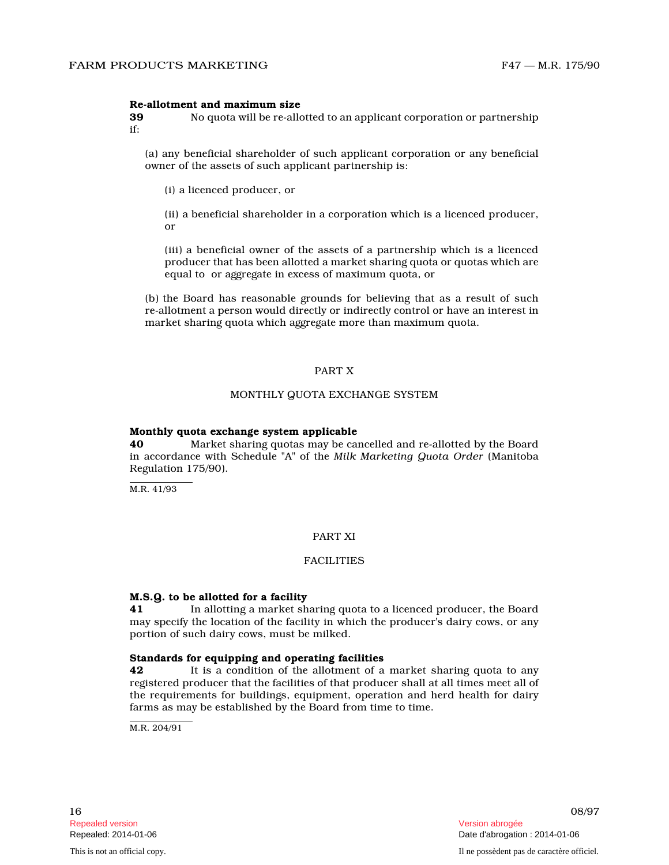#### **Re-allotment and maximum size**

**39** No quota will be re-allotted to an applicant corporation or partnership if:

(a) any beneficial shareholder of such applicant corporation or any beneficial owner of the assets of such applicant partnership is:

(i) a licenced producer, or

(ii) a beneficial shareholder in a corporation which is a licenced producer, or

(iii) a beneficial owner of the assets of a partnership which is a licenced producer that has been allotted a market sharing quota or quotas which are equal to or aggregate in excess of maximum quota, or

(b) the Board has reasonable grounds for believing that as a result of such re-allotment a person would directly or indirectly control or have an interest in market sharing quota which aggregate more than maximum quota.

#### PART X

#### MONTHLY QUOTA EXCHANGE SYSTEM

#### **Monthly quota exchange system applicable**

**40** Market sharing quotas may be cancelled and re-allotted by the Board in accordance with Schedule "A" of the *Milk Marketing Quota Order* (Manitoba Regulation 175/90).

M.R. 41/93

# PART XI

#### FACILITIES

#### **M.S.Q. to be allotted for a facility**

**41** In allotting a market sharing quota to a licenced producer, the Board may specify the location of the facility in which the producer's dairy cows, or any portion of such dairy cows, must be milked.

#### **Standards for equipping and operating facilities**

**42** It is a condition of the allotment of a market sharing quota to any registered producer that the facilities of that producer shall at all times meet all of the requirements for buildings, equipment, operation and herd health for dairy farms as may be established by the Board from time to time.

M.R. 204/91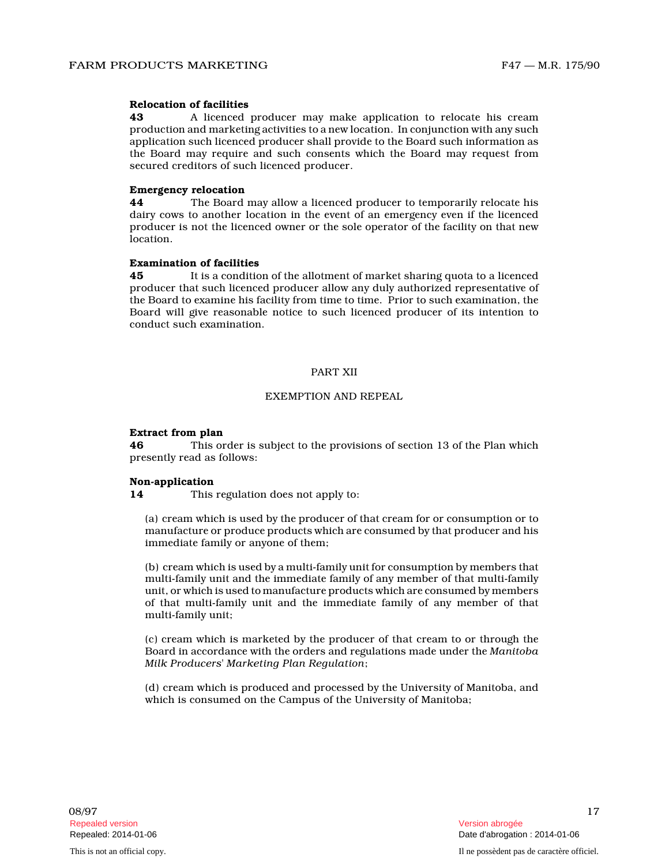### **Relocation of facilities**

**43** A licenced producer may make application to relocate his cream production and marketing activities to a new location. In conjunction with any such application such licenced producer shall provide to the Board such information as the Board may require and such consents which the Board may request from secured creditors of such licenced producer.

#### **Emergency relocation**

**44** The Board may allow a licenced producer to temporarily relocate his dairy cows to another location in the event of an emergency even if the licenced producer is not the licenced owner or the sole operator of the facility on that new location.

#### **Examination of facilities**

**45** It is a condition of the allotment of market sharing quota to a licenced producer that such licenced producer allow any duly authorized representative of the Board to examine his facility from time to time. Prior to such examination, the Board will give reasonable notice to such licenced producer of its intention to conduct such examination.

# PART XII

### EXEMPTION AND REPEAL

#### **Extract from plan**

**46** This order is subject to the provisions of section 13 of the Plan which presently read as follows:

#### **Non-application**

**14** This regulation does not apply to:

(a) cream which is used by the producer of that cream for or consumption or to manufacture or produce products which are consumed by that producer and his immediate family or anyone of them;

(b) cream which is used by a multi-family unit for consumption by members that multi-family unit and the immediate family of any member of that multi-family unit, or which is used to manufacture products which are consumed by members of that multi-family unit and the immediate family of any member of that multi-family unit;

(c) cream which is marketed by the producer of that cream to or through the Board in accordance with the orders and regulations made under the *Manitoba Milk Producers' Marketing Plan Regulation* ;

(d) cream which is produced and processed by the University of Manitoba, and which is consumed on the Campus of the University of Manitoba;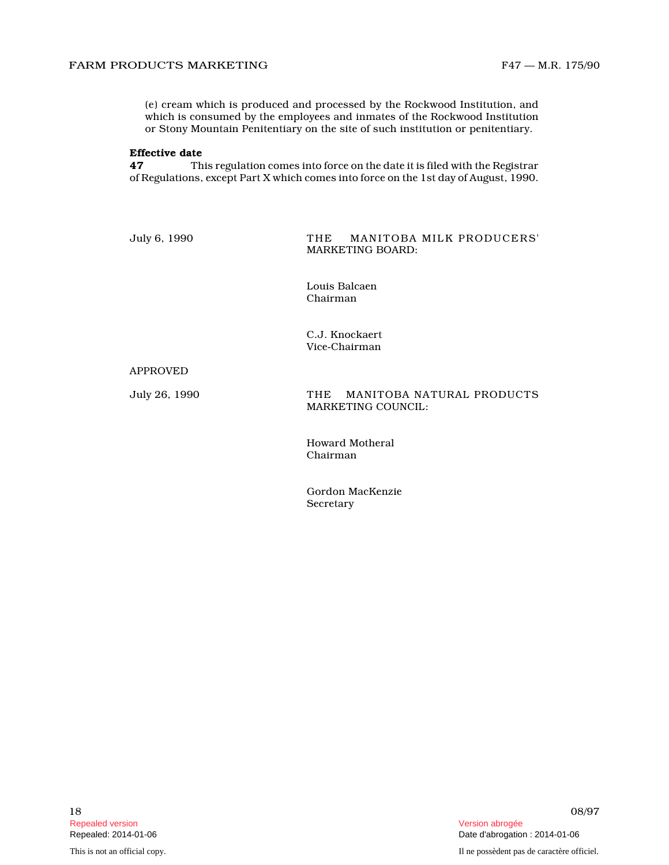(e) cream which is produced and processed by the Rockwood Institution, and which is consumed by the employees and inmates of the Rockwood Institution or Stony Mountain Penitentiary on the site of such institution or penitentiary.

# **Effective date**<br>47 Th

**47** This regulation comes into force on the date it is filed with the Registrar of Regulations, except Part X which comes into force on the 1st day of August, 1990.

July 6, 1990 THE MANITOBA MILK PRODUCERS' MARKETING BOARD:

> Louis Balcaen Chairman

C.J. Knockaert Vice-Chairman

#### APPROVED

July 26, 1990 THE MANITOBA NATURAL PRODUCTS MARKETING COUNCIL:

> Howard Motheral Chairman

Gordon MacKenzie **Secretary**